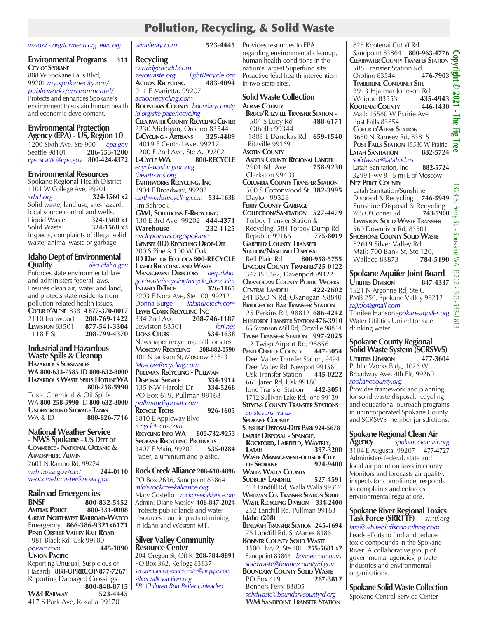## Pollution, Recycling, & Solid Waste

#### *watoxics.org/toxmenu.org ewg.org*

*wirailway.com* **523-4445**

#### **Environmental Programs 311 City of Spokane**

808 W Spokane Falls Blvd, 99201 *my.spokanecity.org/ publicworks/environmental/* Protects and enhances Spokane's environment to sustain human health and economic development.

## **Environmental Protection**

**Agency (EPA) - US, Region 10** 1200 Sixth Ave, Ste 900 *epa.gov* Seattle 98101 **206-553-1200** *epa-seattle@epa.gov* **800-424-4372**

#### **Environmental Resources**

Spokane Regional Health District 1101 W College Ave, 99201 *srhd.org* **324-1560 x2** Solid waste, land use, site-hazard, local source control and wells. Liquid Waste **324-1560 x1** Solid Waste **324-1560 x3** Inspects, complaints of illegal solid waste, animal waste or garbage.

#### **Idaho Dept of Environmental Quality** *deq.idaho.gov*

Enforces state environmental law and administers federal laws. Ensures clean air, water and land, and protects state residents from pollution-related health issues. **Coeur d'Alene** 83814**877-370-0017** 2110 Ironwood **208-769-1422 LEWISTON** 83501 **877-541-3304**<br>1118 F St **208-799-4370** 1118 F St **208-799-4370**

**Industrial and Hazardous Waste Spills & Cleanup Hazardous Substances WA 800-633-7585 ID 800-632-8000 Hazardous Waste Spills Hotline WA 800-258-5990** Toxic Chemical & Oil Spills WA **800-258-5990** ID **800-632-8000 Underground Storage Tanks** WA & ID **800-826-7716** 

**National Weather Service - NWS Spokane - US Dept of Commerce - National Oceanic & Atmospheric Admin** 2601 N Rambo Rd, 99224<br>wrh.noaa.gov/otx/ 244-0110 *wrh.noaa.gov/otx/* **244-0110** *w-otx.webmaster@noaa.gov* 

# **Railroad Emergencies**

**BNSF 800-832-5452 AMTRAK POLICE Great Northwest Railroad-Watco** Emergency **866-386-9321x6171 Pend Oreille Valley Rail Road** 1981 Black Rd, Usk 99180  $povarr.com$ **Union Pacific** Reporting Unusual, Suspicious or Hazards **888-UPRRCOP(877-7267)** Reporting Damaged Crossings  **800-848-8715**

**W&I Railway 523-4445** 417 S Park Ave, Rosalia 99170

| Recycling                                                                          | re<br>hι                     |
|------------------------------------------------------------------------------------|------------------------------|
| cartridgeworld.com                                                                 | na                           |
| <i>lightRecycle.org</i><br>zerowaste.org<br>483-4094<br><b>ACTION RECYCLING</b>    | Pr<br>in                     |
| 911 E Marietta, 99207                                                              |                              |
| actionrecycling.com                                                                | S <sub>0</sub>               |
| <b>BOUNDARY COUNTY</b> boundary county                                             | A<br>ŀ                       |
| id.org/site-page/recycling<br><b>CLEARWATER COUNTY RECYCLING CENTER</b>            |                              |
| 2230 Michigan, Orofino 83544                                                       |                              |
| E-Cycling - Artisans<br>E-Cycling - Artisans 325-4489<br>4019 E Central Ave, 99217 |                              |
| 200 E 2nd Ave, Ste A, 99202                                                        | As                           |
| 800-RECYCLE<br><b>E-CYCLE WA</b>                                                   | ŀ                            |
| ecyclewashington.org                                                               |                              |
| theartisans.org<br>EARTHWORKS RECYCLING, INC                                       | $\overline{(\ }$<br>G        |
| 1904 E Broadway, 99202                                                             |                              |
| earthworksrecycling.com 534-1638                                                   | I                            |
| Jim Schrock                                                                        | FE                           |
| <b>GWI, SOLUTIONS E-RECYCLING</b><br>130 E 3rd Ave, 99202 444-4371                 | C<br>٦                       |
| Warehouse<br>232-1125                                                              | F                            |
| cyclepointus.org/spokane                                                           | F                            |
| <b>GENESEE (ID) RECYCLING DROP-OFF</b>                                             | G<br>S <sub>1</sub>          |
| 200 S Pine & 100 W Oak<br><b>ID DEPT OF ECOLOGY 800-RECYCLE</b>                    | E                            |
| <b>IDAHO RECYCLING AND WASTE</b>                                                   | Lı                           |
| MANAGEMENT DIRECTORY deq.idaho.<br>gov/waste/recycling/recycle_home.cfm            | 3                            |
| 326-1165<br><b>INLAND RETECH</b>                                                   | O<br>$\mathsf C$             |
| 7203 E Nora Ave, Ste 100, 99212                                                    | 24                           |
| Donna Burge inlandretech.com<br><b>LEWIS CLARK RECYCLING INC</b>                   | Bı                           |
| 208-746-1187<br>334 2nd Ave                                                        | 2<br>Eι                      |
| Lewiston 83501<br>lcri.net                                                         | 6                            |
| <b>LIONS CLUBS</b><br>534-1638                                                     | T١                           |
| Newspaper recycling, call for sites<br>Moscow RECYCLING 208-882-0590               | 1                            |
| 401 N Jackson St, Moscow 83843                                                     | Pı<br>D                      |
| MoscowRecycling.com                                                                | I                            |
| PULLMAN RECYCLING - PULLMAN<br><b>DISPOSAL SERVICE</b><br>334-1914                 | l                            |
| 135 NW Harold Dr<br>334-5268                                                       | k<br>ŀ                       |
| PO Box 619, Pullman 99163                                                          | 1                            |
| pullmandisposal.com                                                                | S1                           |
| <b>RECYCLE TECHS</b><br>926-1605<br>6810 E Appleway Blvd                           | C                            |
| recycletechs.com                                                                   | Sf<br>$\mathsf{S}\mathsf{L}$ |
| <b>RECYCLING INFO WA</b><br>800-732-9253                                           | E۸                           |
| <b>SPOKANE RECYCLING PRODUCTS</b><br>3407 E Main, 99202<br>535-0284                | ł<br>ı                       |
| Paper, aluminium and plastic.                                                      | N                            |
|                                                                                    | C                            |
| Rock Creek Alliance 208-610-4896                                                   | N<br>Sι                      |
| PO Box 2636, Sandpoint 83864<br>info@rockcreekalliance.org                         | 4                            |
| Mary Costello rockcreekalliance.org                                                | N                            |

Admin: Diane Mosley **406-847-2024** Protects public lands and water resources from impacts of mining in Idaho and Western MT.

#### **Silver Valley Community Resource Center**

204 Oregon St, Off K **208-784-8891** PO Box 362, Kellogg 83837 *svcommunityresourcecenter@air-pipe.com silvervalleyaction.org FB: Children Run Better Unleaded*

523-4445 | Provides resources to EPA garding environmental cleanup, uman health conditions in the ation's largest Superfund site. roactive lead health intervention two-state sites.

> **Solid Waste Collection Adams County Bruce/Ritzville Transfer Station -** 504 S Lucy Rd Othello 99344 1803 E Danekas Rd **659-1540** Ritzville 99169 **Asotin County Asotin County Regional Landfill** 2901 6th Ave **758-9230** Clarkston 99403 **Columbia County Transfer Station** 500 S Cottonwood St **382-3995** Dayton 99328 **Ferry County Garbage Collection/Sanitation 527-4479** Torboy Transfer Station & Recycling, 584 Torboy Dump Rd Republic 99166 **775-8019 Garfield County Transfer STATION/NASLUND DISPOSAL**  Bell Plain Rd **800-958-5755 Lincoln County Transfer725-0122** 34735 US-2, Davenport 99122 **Okanogan County Public Works Central Landfill 422-2602** 241 B&O N Rd, Okanogan 98840 **Bridgeport Bar Transfer Station** 25 Perkins Rd, 98812 **686-4242 Ellisforde Transfer Station 476-3910** 65 Swanson Mill Rd, Oroville 98844 **Twisp Transfer Station 997-2025** 12 Twisp Airport Rd, 98856 **Pend Oreille County 447-3054** Deer Valley Transfer Station, 9494 Deer Valley Rd, Newport 99156 Usk Transfer Station **445-0222** 661 Jared Rd, Usk 99180 **Ione Transfer Station**  1712 Sullivan Lake Rd, Ione 99139 **TEVENS COUNTY TRANSFER STATIONS**  *co.stevens.wa.us* **OKANE COUNTY Sunshine Disposal-Deer Park 924-5678**

**Empire Disposal - Spangle, Rockford, Fairfield, Waverly, Latah 397-3200 Waste Management-outside City of Spokane 924-9400 Walla Walla County Sudbury Landfill 527-4591** 414 Landfill Rd, Walla Walla 99362 **Whitman Co. Transfer Station Solid Waste Recycling Division 334-2400** 252 Landfill Rd, Pullman 99163 **Idaho (208) Benewah Transfer Station 245-1694** 75 Landfill Rd, St Maries 83861 **Bonner County Solid Waste**

 1500 Hwy 2, Ste 101 **255-5681 x2** Sandpoint 83864 *bonnercounty.us solidwaste@bonnercountyid.gov* **BOUNDARY COUNTY SOLID WASTE**<br>PO Box 419 **267-3812 PO Box 419** Bonners Ferry 83805

 *solidwaste@boundarycountyid.org*  **WM Sandpoint Transfer Station**

 825 Kootenai Cutoff Rd Sandpoint 83864 **800-963-4776 Copyright © 2021 - The Fig Tree Clearwater County Transfer Station 585 Transfer Station Rd**<br> **Qrofino 83544 476-7903** <u>କ୍ଟ୍ର</u> Orofino 83544 **476-7903 Timberline Container Site**  $\odot$ 3913 Hjalmar Johnson Rd<br>Weippe 83553 **435-4943**  Weippe 83553 **435-4943 KOOTENAI COUNTY**  Mail: 15580 W Prairie Ave lne Post Falls 83854  **Coeur d'Alene Station** Ē. 3650 N Ramsey Rd, 83815 œ **POST FALLS STATION** 15580 W Prairie<br>**ATAH SANITATION** 882-5724 **LATAH SANITATION**  *solidwaste@latah.id.us* Latah Sanitation, Inc **882-5724** 3299 Hwy 8 - 5 mi E of Moscow **Nez Perce County** Latah Sanitation/Sunshine Disposal & Recycling **746-5949** Sunshine Disposal & Recycling 285 O'Conner Rd  **Lewiston Solid Waste Transfer** 560 Downriver Rd, 83501 **Shoshone County Solid Waste** 52619 Silver Valley Rd Mail: 700 Bank St, Ste 120, Wallace 83873 **784-5190 Spokane Aquifer Joint Board Utilities Division 847-4337**

PMB 250, Spokane Valley 99212 Tonilee Hanson *spokaneaquifer.org* Water Utilities United for safe

### **Spokane County Regional Solid Waste System (SCRSWS)**

1521 N Argonne Rd, Ste C

*sajinfo@gmail.com*

drinking water.

**Utilities Division 477-3604** Public Works Bldg, 1026 W Broadway Ave, 4th Flr, 99260 *spokanecounty.org*

Provides framework and planning for solid waste disposal, recycling and educational outreach programs in unincorporated Spokane County and SCRSWS member jurisdictions.

# **Spokane Regional Clean Air**

**Agency** *spokanecleanair.org* 3104 E Augusta, 99207 **477-4727** Administers federal, state and local air pollution laws in county. Monitors and forecasts air quality, inspects for compliance, responds to complaints and enforces environmental regulations.

#### **Spokane River Regional Toxics Task Force (SRRTTF)** *srrttf.org*

*lara@whitebluffsconsulting.com* Leads efforts to find and reduce toxic compounds in the Spokane River. A collaborative group of governmental agencies, private industries and environmental organizations.

**Spokane Solid Waste Collection**

Spokane Central Service Center